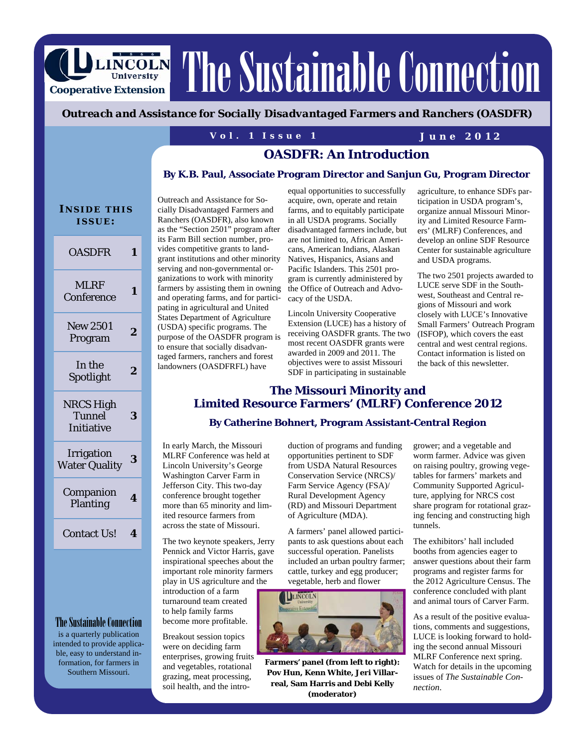LINCOLN The Sustainable Connection

### *Outreach and Assistance for Socially Disadvantaged Farmers and Ranchers (OASDFR)*

### **Vol. 1 Issue 1 June 2012**

# **OASDFR: An Introduction**

#### **By K.B. Paul, Associate Program Director and Sanjun Gu, Program Director**

| <b>INSIDE THIS</b><br>ISSUE:                    |   |
|-------------------------------------------------|---|
| <b>OASDFR</b>                                   | 1 |
| <b>MLRF</b><br>Conference                       | 1 |
| <b>New 2501</b><br>Program                      | 2 |
| In the<br>Spotlight                             | 2 |
| <b>NRCS High</b><br>Tunnel<br><b>Initiative</b> | 3 |
| Irrigation<br><b>Water Quality</b>              | 3 |
| Companion<br>Planting                           | 4 |
| <b>Contact Us!</b>                              | 4 |
|                                                 |   |

**Cooperative Extension** 

### The Sustainable Connection

is a quarterly publication intended to provide applicable, easy to understand information, for farmers in Southern Missouri.

Outreach and Assistance for Socially Disadvantaged Farmers and Ranchers (OASDFR), also known as the "Section 2501" program after its Farm Bill section number, provides competitive grants to landgrant institutions and other minority serving and non-governmental organizations to work with minority farmers by assisting them in owning and operating farms, and for participating in agricultural and United States Department of Agriculture (USDA) specific programs. The purpose of the OASDFR program is to ensure that socially disadvantaged farmers, ranchers and forest landowners (OASDFRFL) have

equal opportunities to successfully acquire, own, operate and retain farms, and to equitably participate in all USDA programs. Socially disadvantaged farmers include, but are not limited to, African Americans, American Indians, Alaskan Natives, Hispanics, Asians and Pacific Islanders. This 2501 program is currently administered by the Office of Outreach and Advocacy of the USDA.

Lincoln University Cooperative Extension (LUCE) has a history of receiving OASDFR grants. The two most recent OASDFR grants were awarded in 2009 and 2011. The objectives were to assist Missouri SDF in participating in sustainable

agriculture, to enhance SDFs participation in USDA program's, organize annual Missouri Minority and Limited Resource Farmers' (MLRF) Conferences, and develop an online SDF Resource Center for sustainable agriculture and USDA programs.

The two 2501 projects awarded to LUCE serve SDF in the Southwest, Southeast and Central regions of Missouri and work closely with LUCE's Innovative Small Farmers' Outreach Program (ISFOP), which covers the east central and west central regions. Contact information is listed on the back of this newsletter.

### **The Missouri Minority and Limited Resource Farmers' (MLRF) Conference 2012**

### **By Catherine Bohnert, Program Assistant-Central Region**

In early March, the Missouri MLRF Conference was held at Lincoln University's George Washington Carver Farm in Jefferson City. This two-day conference brought together more than 65 minority and limited resource farmers from across the state of Missouri.

The two keynote speakers, Jerry Pennick and Victor Harris, gave inspirational speeches about the important role minority farmers play in US agriculture and the

introduction of a farm turnaround team created to help family farms become more profitable.

Breakout session topics were on deciding farm enterprises, growing fruits and vegetables, rotational grazing, meat processing, soil health, and the intro-

duction of programs and funding opportunities pertinent to SDF from USDA Natural Resources Conservation Service (NRCS)/ Farm Service Agency (FSA)/ Rural Development Agency (RD) and Missouri Department of Agriculture (MDA).

A farmers' panel allowed participants to ask questions about each successful operation. Panelists included an urban poultry farmer; cattle, turkey and egg producer; vegetable, herb and flower



**Farmers' panel (from left to right): Pov Hun, Kenn White, Jeri Villarreal, Sam Harris and Debi Kelly (moderator)** 

grower; and a vegetable and worm farmer. Advice was given on raising poultry, growing vegetables for farmers' markets and Community Supported Agriculture, applying for NRCS cost share program for rotational grazing fencing and constructing high tunnels.

The exhibitors' hall included booths from agencies eager to answer questions about their farm programs and register farms for the 2012 Agriculture Census. The conference concluded with plant and animal tours of Carver Farm.

As a result of the positive evaluations, comments and suggestions, LUCE is looking forward to holding the second annual Missouri MLRF Conference next spring. Watch for details in the upcoming issues of *The Sustainable Connection*.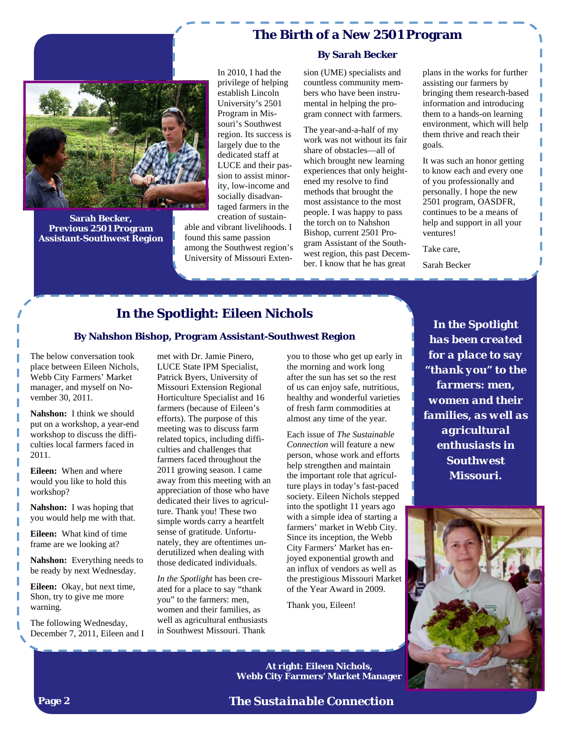# **The Birth of a New 2501 Program**



**Sarah Becker, Previous 2501 Program Assistant-Southwest Region** 

In 2010, I had the privilege of helping establish Lincoln University's 2501 Program in Missouri's Southwest region. Its success is largely due to the dedicated staff at LUCE and their passion to assist minority, low-income and socially disadvantaged farmers in the creation of sustainable and vibrant livelihoods. I

found this same passion among the Southwest region's University of Missouri Exten-

#### **By Sarah Becker**

sion (UME) specialists and countless community members who have been instrumental in helping the program connect with farmers.

The year-and-a-half of my work was not without its fair share of obstacles—all of which brought new learning experiences that only heightened my resolve to find methods that brought the most assistance to the most people. I was happy to pass the torch on to Nahshon Bishop, current 2501 Program Assistant of the Southwest region, this past December. I know that he has great

plans in the works for further assisting our farmers by bringing them research-based information and introducing them to a hands-on learning environment, which will help them thrive and reach their goals.

It was such an honor getting to know each and every one of you professionally and personally. I hope the new 2501 program, OASDFR, continues to be a means of help and support in all your ventures!

I

Take care,

Sarah Becker

# **In the Spotlight: Eileen Nichols**

#### **By Nahshon Bishop, Program Assistant-Southwest Region**

The below conversation took place between Eileen Nichols, Webb City Farmers' Market manager, and myself on November 30, 2011.

**Nahshon:** I think we should put on a workshop, a year-end workshop to discuss the difficulties local farmers faced in 2011.

**Eileen:** When and where would you like to hold this workshop?

**Nahshon:** I was hoping that you would help me with that.

**Eileen:** What kind of time frame are we looking at?

**Nahshon:** Everything needs to be ready by next Wednesday.

**Eileen:** Okay, but next time, Shon, try to give me more warning.

The following Wednesday, December 7, 2011, Eileen and I

met with Dr. Jamie Pinero, LUCE State IPM Specialist, Patrick Byers, University of Missouri Extension Regional Horticulture Specialist and 16 farmers (because of Eileen's efforts). The purpose of this meeting was to discuss farm related topics, including difficulties and challenges that farmers faced throughout the 2011 growing season. I came away from this meeting with an appreciation of those who have dedicated their lives to agriculture. Thank you! These two simple words carry a heartfelt sense of gratitude. Unfortunately, they are oftentimes underutilized when dealing with those dedicated individuals.

*In the Spotlight* has been created for a place to say "thank you" to the farmers: men, women and their families, as well as agricultural enthusiasts in Southwest Missouri. Thank

you to those who get up early in the morning and work long after the sun has set so the rest of us can enjoy safe, nutritious, healthy and wonderful varieties of fresh farm commodities at almost any time of the year.

Each issue of *The Sustainable Connection* will feature a new person, whose work and efforts help strengthen and maintain the important role that agriculture plays in today's fast-paced society. Eileen Nichols stepped into the spotlight 11 years ago with a simple idea of starting a farmers' market in Webb City. Since its inception, the Webb City Farmers' Market has enjoyed exponential growth and an influx of vendors as well as the prestigious Missouri Market of the Year Award in 2009.

Thank you, Eileen!

**In the Spotlight**  *has been created for a place to say "thank you" to the farmers: men, women and their families, as well as agricultural enthusiasts in Southwest Missouri.* 



**At right: Eileen Nichols, Webb City Farmers' Market Manager** 

*The Sustainable Connection*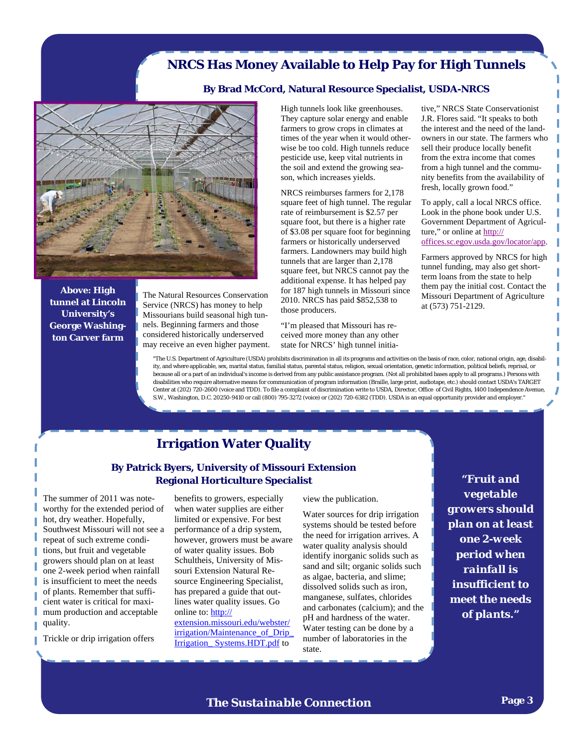# **NRCS Has Money Available to Help Pay for High Tunnels**

#### **By Brad McCord, Natural Resource Specialist, USDA-NRCS**



**Above: High tunnel at Lincoln University's George Washington Carver farm** 

The Natural Resources Conservation Service (NRCS) has money to help Missourians build seasonal high tunnels. Beginning farmers and those considered historically underserved may receive an even higher payment. High tunnels look like greenhouses. They capture solar energy and enable farmers to grow crops in climates at times of the year when it would otherwise be too cold. High tunnels reduce pesticide use, keep vital nutrients in the soil and extend the growing season, which increases yields.

NRCS reimburses farmers for 2,178 square feet of high tunnel. The regular rate of reimbursement is \$2.57 per square foot, but there is a higher rate of \$3.08 per square foot for beginning farmers or historically underserved farmers. Landowners may build high tunnels that are larger than 2,178 square feet, but NRCS cannot pay the additional expense. It has helped pay for 187 high tunnels in Missouri since 2010. NRCS has paid \$852,538 to those producers.

"I'm pleased that Missouri has received more money than any other state for NRCS' high tunnel initia-

tive," NRCS State Conservationist J.R. Flores said. "It speaks to both the interest and the need of the landowners in our state. The farmers who sell their produce locally benefit from the extra income that comes from a high tunnel and the community benefits from the availability of fresh, locally grown food."

To apply, call a local NRCS office. Look in the phone book under U.S. Government Department of Agriculture," or online at http:// offices.sc.egov.usda.gov/locator/app.

Farmers approved by NRCS for high tunnel funding, may also get shortterm loans from the state to help them pay the initial cost. Contact the Missouri Department of Agriculture at (573) 751-2129.

"The U.S. Department of Agriculture (USDA) prohibits discrimination in all its programs and activities on the basis of race, color, national origin, age, disability, and where applicable, sex, marital status, familial status, parental status, religion, sexual orientation, genetic information, political beliefs, reprisal, or because all or a part of an individual's income is derived from any public assistance program. (Not all prohibited bases apply to all programs.) Persons with disabilities who require alternative means for communication of program information (Braille, large print, audiotape, etc.) should contact USDA's TARGET Center at (202) 720-2600 (voice and TDD). To file a complaint of discrimination write to USDA, Director, Office of Civil Rights, 1400 Independence Avenue, S.W., Washington, D.C. 20250-9410 or call (800) 795-3272 (voice) or (202) 720-6382 (TDD). USDA is an equal opportunity provider and employer."

# **Irrigation Water Quality**

### **By Patrick Byers, University of Missouri Extension Regional Horticulture Specialist**

The summer of 2011 was noteworthy for the extended period of hot, dry weather. Hopefully, Southwest Missouri will not see a repeat of such extreme conditions, but fruit and vegetable growers should plan on at least one 2-week period when rainfall is insufficient to meet the needs of plants. Remember that sufficient water is critical for maximum production and acceptable quality.

Trickle or drip irrigation offers

benefits to growers, especially when water supplies are either limited or expensive. For best performance of a drip system, however, growers must be aware of water quality issues. Bob Schultheis, University of Missouri Extension Natural Resource Engineering Specialist, has prepared a guide that outlines water quality issues. Go online to: http:// extension.missouri.edu/webster/

irrigation/Maintenance\_of\_Drip\_ Irrigation\_ Systems.HDT.pdf to

view the publication.

Water sources for drip irrigation systems should be tested before the need for irrigation arrives. A water quality analysis should identify inorganic solids such as sand and silt; organic solids such as algae, bacteria, and slime; dissolved solids such as iron, manganese, sulfates, chlorides and carbonates (calcium); and the pH and hardness of the water. Water testing can be done by a number of laboratories in the state.

*"Fruit and vegetable growers should plan on at least one 2-week period when rainfall is insufficient to meet the needs of plants."* 

*The Sustainable Connection*